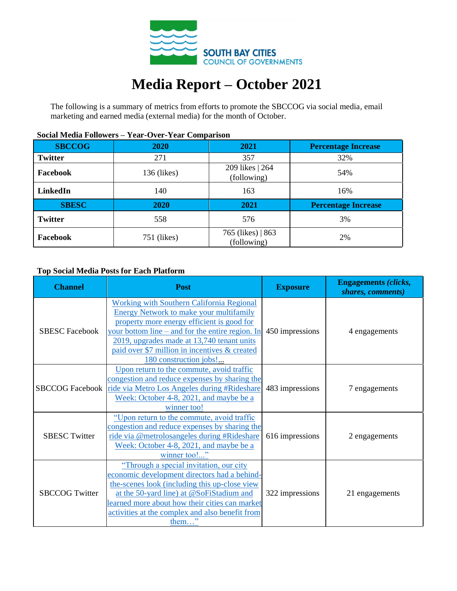

# **Media Report – October 2021**

The following is a summary of metrics from efforts to promote the SBCCOG via social media, email marketing and earned media (external media) for the month of October.

| <b>SBCCOG</b>  | 2020        | 2021                             | <b>Percentage Increase</b> |  |
|----------------|-------------|----------------------------------|----------------------------|--|
| <b>Twitter</b> | 271         | 357                              | 32%                        |  |
| Facebook       | 136 (likes) | 209 likes   264<br>(following)   | 54%                        |  |
| LinkedIn       | 140         | 163                              | 16%                        |  |
| <b>SBESC</b>   | 2020        | 2021                             | <b>Percentage Increase</b> |  |
| <b>Twitter</b> | 558         | 576                              | 3%                         |  |
| Facebook       | 751 (likes) | 765 (likes)   863<br>(following) | 2%                         |  |

# **Social Media Followers – Year-Over-Year Comparison**

### **Top Social Media Posts for Each Platform**

| <b>Channel</b>         | <b>Post</b>                                                                                                                                                                                                                                                                                                                   | <b>Exposure</b> | <b>Engagements (clicks,</b><br>shares, comments) |  |
|------------------------|-------------------------------------------------------------------------------------------------------------------------------------------------------------------------------------------------------------------------------------------------------------------------------------------------------------------------------|-----------------|--------------------------------------------------|--|
| <b>SBESC Facebook</b>  | <b>Working with Southern California Regional</b><br><b>Energy Network to make your multifamily</b><br>property more energy efficient is good for<br>your bottom line – and for the entire region. In<br>2019, upgrades made at 13,740 tenant units<br>paid over \$7 million in incentives & created<br>180 construction jobs! | 450 impressions | 4 engagements                                    |  |
| <b>SBCCOG Facebook</b> | Upon return to the commute, avoid traffic<br>congestion and reduce expenses by sharing the<br>ride via Metro Los Angeles during #Rideshare<br>Week: October 4-8, 2021, and maybe be a<br>winner too!                                                                                                                          | 483 impressions | 7 engagements                                    |  |
| <b>SBESC Twitter</b>   | "Upon return to the commute, avoid traffic<br>congestion and reduce expenses by sharing the<br>ride via @metrolosangeles during #Rideshare<br>Week: October 4-8, 2021, and maybe be a<br>winner too!"                                                                                                                         | 616 impressions | 2 engagements                                    |  |
| <b>SBCCOG Twitter</b>  | "Through a special invitation, our city<br>economic development directors had a behind-<br>the-scenes look (including this up-close view<br>at the 50-yard line) at @SoFiStadium and<br>learned more about how their cities can market<br>activities at the complex and also benefit from<br>them"                            | 322 impressions | 21 engagements                                   |  |